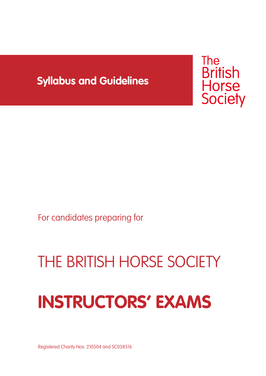# **Syllabus and Guidelines**



For candidates preparing for

# THE BRITISH HORSE SOCIETY

# **INSTRUCTORS' EXAMS**

Registered Charity Nos. 210504 and SC038516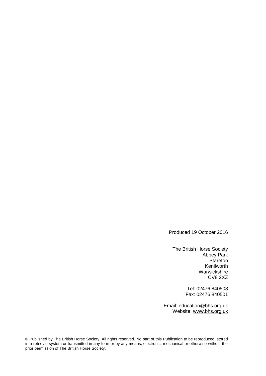Produced 19 October 2016

The British Horse Society Abbey Park **Stareton** Kenilworth Warwickshire CV8 2XZ

> Tel: 02476 840508 Fax: 02476 840501

Email: [education@bhs.org.uk](mailto:education@bhs.org.uk) Website: www.bhs.org.uk

© Published by The British Horse Society. All rights reserved. No part of this Publication to be reproduced, stored in a retrieval system or transmitted in any form or by any means, electronic, mechanical or otherwise without the prior permission of The British Horse Society.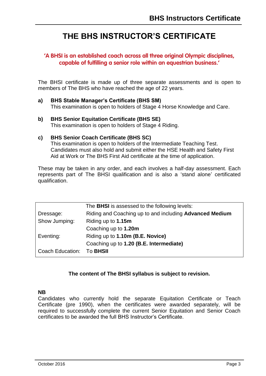# **THE BHS INSTRUCTOR'S CERTIFICATE**

#### **'A BHSI is an established coach across all three original Olympic disciplines, capable of fulfilling a senior role within an equestrian business.'**

The BHSI certificate is made up of three separate assessments and is open to members of The BHS who have reached the age of 22 years.

- **a) BHS Stable Manager's Certificate (BHS SM)** This examination is open to holders of Stage 4 Horse Knowledge and Care.
- **b) BHS Senior Equitation Certificate (BHS SE)** This examination is open to holders of Stage 4 Riding.

#### **c) BHS Senior Coach Certificate (BHS SC)**

This examination is open to holders of the Intermediate Teaching Test. Candidates must also hold and submit either the HSE Health and Safety First Aid at Work or The BHS First Aid certificate at the time of application.

These may be taken in any order, and each involves a half-day assessment. Each represents part of The BHSI qualification and is also a 'stand alone' certificated qualification.

|                  | The <b>BHSI</b> is assessed to the following levels:    |
|------------------|---------------------------------------------------------|
| Dressage:        | Riding and Coaching up to and including Advanced Medium |
| Show Jumping:    | Riding up to 1.15m                                      |
|                  | Coaching up to 1.20m                                    |
| Eventing:        | Riding up to 1.10m (B.E. Novice)                        |
|                  | Coaching up to 1.20 (B.E. Intermediate)                 |
| Coach Education: | To <b>BHSII</b>                                         |

#### **The content of The BHSI syllabus is subject to revision.**

#### **NB**

Candidates who currently hold the separate Equitation Certificate or Teach Certificate (pre 1990), when the certificates were awarded separately, will be required to successfully complete the current Senior Equitation and Senior Coach certificates to be awarded the full BHS Instructor's Certificate.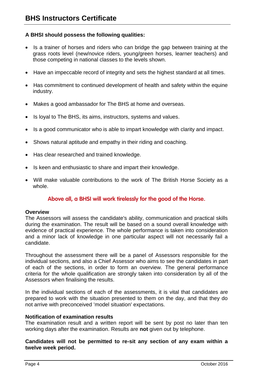#### **A BHSI should possess the following qualities:**

- Is a trainer of horses and riders who can bridge the gap between training at the grass roots level (new/novice riders, young/green horses, learner teachers) and those competing in national classes to the levels shown.
- Have an impeccable record of integrity and sets the highest standard at all times.
- Has commitment to continued development of health and safety within the equine industry.
- Makes a good ambassador for The BHS at home and overseas.
- Is loyal to The BHS, its aims, instructors, systems and values.
- Is a good communicator who is able to impart knowledge with clarity and impact.
- Shows natural aptitude and empathy in their riding and coaching.
- Has clear researched and trained knowledge.
- Is keen and enthusiastic to share and impart their knowledge.
- Will make valuable contributions to the work of The British Horse Society as a whole.

#### **Above all, a BHSI will work tirelessly for the good of the Horse.**

#### **Overview**

The Assessors will assess the candidate's ability, communication and practical skills during the examination. The result will be based on a sound overall knowledge with evidence of practical experience. The whole performance is taken into consideration and a minor lack of knowledge in one particular aspect will not necessarily fail a candidate.

Throughout the assessment there will be a panel of Assessors responsible for the individual sections, and also a Chief Assessor who aims to see the candidates in part of each of the sections, in order to form an overview. The general performance criteria for the whole qualification are strongly taken into consideration by all of the Assessors when finalising the results.

In the individual sections of each of the assessments, it is vital that candidates are prepared to work with the situation presented to them on the day, and that they do not arrive with preconceived 'model situation' expectations.

#### **Notification of examination results**

The examination result and a written report will be sent by post no later than ten working days after the examination. Results are **not** given out by telephone.

**Candidates will not be permitted to re-sit any section of any exam within a twelve week period.**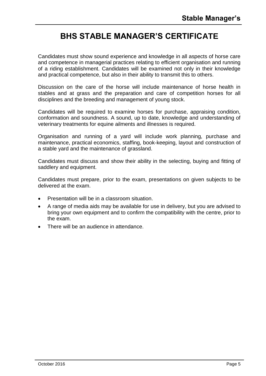# **BHS STABLE MANAGER'S CERTIFICATE**

Candidates must show sound experience and knowledge in all aspects of horse care and competence in managerial practices relating to efficient organisation and running of a riding establishment. Candidates will be examined not only in their knowledge and practical competence, but also in their ability to transmit this to others.

Discussion on the care of the horse will include maintenance of horse health in stables and at grass and the preparation and care of competition horses for all disciplines and the breeding and management of young stock.

Candidates will be required to examine horses for purchase, appraising condition, conformation and soundness. A sound, up to date, knowledge and understanding of veterinary treatments for equine ailments and illnesses is required.

Organisation and running of a yard will include work planning, purchase and maintenance, practical economics, staffing, book-keeping, layout and construction of a stable yard and the maintenance of grassland.

Candidates must discuss and show their ability in the selecting, buying and fitting of saddlery and equipment.

Candidates must prepare, prior to the exam, presentations on given subjects to be delivered at the exam.

- Presentation will be in a classroom situation.
- A range of media aids may be available for use in delivery, but you are advised to bring your own equipment and to confirm the compatibility with the centre, prior to the exam.
- There will be an audience in attendance.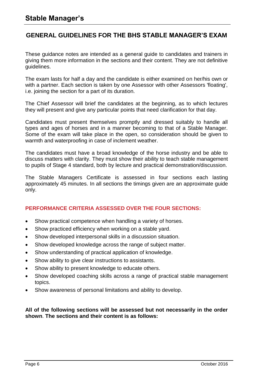# **GENERAL GUIDELINES FOR THE BHS STABLE MANAGER'S EXAM**

These guidance notes are intended as a general guide to candidates and trainers in giving them more information in the sections and their content. They are not definitive guidelines.

The exam lasts for half a day and the candidate is either examined on her/his own or with a partner. Each section is taken by one Assessor with other Assessors 'floating', i.e. joining the section for a part of its duration.

The Chief Assessor will brief the candidates at the beginning, as to which lectures they will present and give any particular points that need clarification for that day.

Candidates must present themselves promptly and dressed suitably to handle all types and ages of horses and in a manner becoming to that of a Stable Manager. Some of the exam will take place in the open, so consideration should be given to warmth and waterproofing in case of inclement weather.

The candidates must have a broad knowledge of the horse industry and be able to discuss matters with clarity. They must show their ability to teach stable management to pupils of Stage 4 standard, both by lecture and practical demonstration/discussion.

The Stable Managers Certificate is assessed in four sections each lasting approximately 45 minutes. In all sections the timings given are an approximate guide only.

#### **PERFORMANCE CRITERIA ASSESSED OVER THE FOUR SECTIONS:**

- Show practical competence when handling a variety of horses.
- Show practiced efficiency when working on a stable yard.
- Show developed interpersonal skills in a discussion situation.
- Show developed knowledge across the range of subject matter.
- Show understanding of practical application of knowledge.
- Show ability to give clear instructions to assistants.
- Show ability to present knowledge to educate others.
- Show developed coaching skills across a range of practical stable management topics.
- Show awareness of personal limitations and ability to develop.

#### **All of the following sections will be assessed but not necessarily in the order shown**. **The sections and their content is as follows:**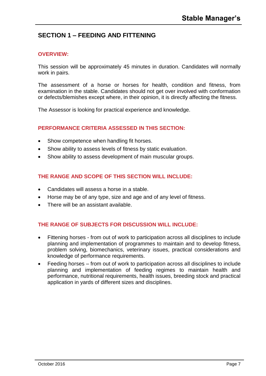# **SECTION 1 – FEEDING AND FITTENING**

#### **OVERVIEW:**

This session will be approximately 45 minutes in duration. Candidates will normally work in pairs.

The assessment of a horse or horses for health, condition and fitness, from examination in the stable. Candidates should not get over involved with conformation or defects/blemishes except where, in their opinion, it is directly affecting the fitness.

The Assessor is looking for practical experience and knowledge.

#### **PERFORMANCE CRITERIA ASSESSED IN THIS SECTION:**

- Show competence when handling fit horses.
- Show ability to assess levels of fitness by static evaluation.
- Show ability to assess development of main muscular groups.

#### **THE RANGE AND SCOPE OF THIS SECTION WILL INCLUDE:**

- Candidates will assess a horse in a stable.
- Horse may be of any type, size and age and of any level of fitness.
- There will be an assistant available.

- Fittening horses from out of work to participation across all disciplines to include planning and implementation of programmes to maintain and to develop fitness, problem solving, biomechanics, veterinary issues, practical considerations and knowledge of performance requirements.
- Feeding horses from out of work to participation across all disciplines to include planning and implementation of feeding regimes to maintain health and performance, nutritional requirements, health issues, breeding stock and practical application in yards of different sizes and disciplines.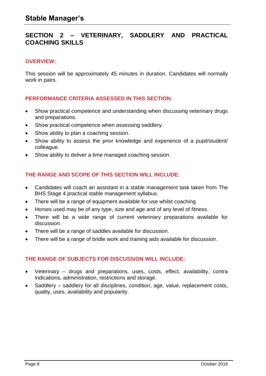### **SECTION 2 – VETERINARY, SADDLERY AND PRACTICAL COACHING SKILLS**

#### **OVERVIEW:**

This session will be approximately 45 minutes in duration. Candidates will normally work in pairs.

#### **PERFORMANCE CRITERIA ASSESSED IN THIS SECTION:**

- Show practical competence and understanding when discussing veterinary drugs and preparations.
- Show practical competence when assessing saddlery.
- Show ability to plan a coaching session.
- Show ability to assess the prior knowledge and experience of a pupil/student/ colleague.
- Show ability to deliver a time managed coaching session.

#### **THE RANGE AND SCOPE OF THIS SECTION WILL INCLUDE:**

- Candidates will coach an assistant in a stable management task taken from The BHS Stage 4 practical stable management syllabus.
- There will be a range of equipment available for use whilst coaching.
- Horses used may be of any type, size and age and of any level of fitness.
- There will be a wide range of current veterinary preparations available for discussion.
- There will be a range of saddles available for discussion.
- There will be a range of bridle work and training aids available for discussion.

- Veterinary drugs and preparations, uses, costs, effect, availability, contra indications, administration, restrictions and storage.
- Saddlery saddlery for all disciplines, condition, age, value, replacement costs, quality, uses, availability and popularity.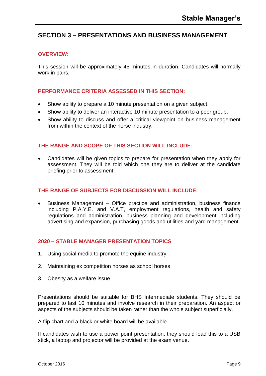# **SECTION 3 – PRESENTATIONS AND BUSINESS MANAGEMENT**

#### **OVERVIEW:**

This session will be approximately 45 minutes in duration. Candidates will normally work in pairs.

#### **PERFORMANCE CRITERIA ASSESSED IN THIS SECTION:**

- Show ability to prepare a 10 minute presentation on a given subject.
- Show ability to deliver an interactive 10 minute presentation to a peer group.
- Show ability to discuss and offer a critical viewpoint on business management from within the context of the horse industry.

#### **THE RANGE AND SCOPE OF THIS SECTION WILL INCLUDE:**

 Candidates will be given topics to prepare for presentation when they apply for assessment. They will be told which one they are to deliver at the candidate briefing prior to assessment.

#### **THE RANGE OF SUBJECTS FOR DISCUSSION WILL INCLUDE:**

 Business Management – Office practice and administration, business finance including P.A.Y.E. and V.A.T, employment regulations, health and safety regulations and administration, business planning and development including advertising and expansion, purchasing goods and utilities and yard management.

#### **2020 – STABLE MANAGER PRESENTATION TOPICS**

- 1. Using social media to promote the equine industry
- 2. Maintaining ex competition horses as school horses
- 3. Obesity as a welfare issue

Presentations should be suitable for BHS Intermediate students. They should be prepared to last 10 minutes and involve research in their preparation. An aspect or aspects of the subjects should be taken rather than the whole subject superficially.

A flip chart and a black or white board will be available.

If candidates wish to use a power point presentation, they should load this to a USB stick, a laptop and projector will be provided at the exam venue.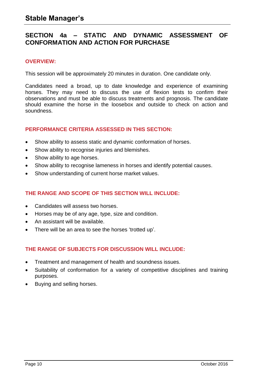## **SECTION 4a – STATIC AND DYNAMIC ASSESSMENT OF CONFORMATION AND ACTION FOR PURCHASE**

#### **OVERVIEW:**

This session will be approximately 20 minutes in duration. One candidate only.

Candidates need a broad, up to date knowledge and experience of examining horses. They may need to discuss the use of flexion tests to confirm their observations and must be able to discuss treatments and prognosis. The candidate should examine the horse in the loosebox and outside to check on action and soundness.

#### **PERFORMANCE CRITERIA ASSESSED IN THIS SECTION:**

- Show ability to assess static and dynamic conformation of horses.
- Show ability to recognise injuries and blemishes.
- Show ability to age horses.
- Show ability to recognise lameness in horses and identify potential causes.
- Show understanding of current horse market values.

#### **THE RANGE AND SCOPE OF THIS SECTION WILL INCLUDE:**

- Candidates will assess two horses.
- Horses may be of any age, type, size and condition.
- An assistant will be available.
- There will be an area to see the horses 'trotted up'.

- Treatment and management of health and soundness issues.
- Suitability of conformation for a variety of competitive disciplines and training purposes.
- Buying and selling horses.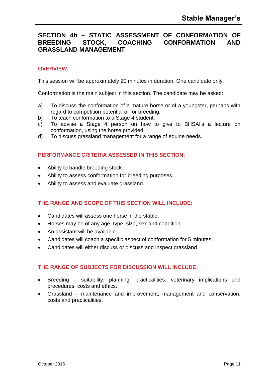## **SECTION 4b – STATIC ASSESSMENT OF CONFORMATION OF BREEDING STOCK, COACHING CONFORMATION AND GRASSLAND MANAGEMENT**

#### **OVERVIEW:**

This session will be approximately 20 minutes in duration. One candidate only.

Conformation is the main subject in this section. The candidate may be asked:

- a) To discuss the conformation of a mature horse or of a youngster, perhaps with regard to competition potential or for breeding.
- b) To teach conformation to a Stage 4 student.
- c) To advise a Stage 4 person on how to give to BHSAI's a lecture on conformation, using the horse provided.
- d) To discuss grassland management for a range of equine needs.

#### **PERFORMANCE CRITERIA ASSESSED IN THIS SECTION:**

- Ability to handle breeding stock.
- Ability to assess conformation for breeding purposes.
- Ability to assess and evaluate grassland.

#### **THE RANGE AND SCOPE OF THIS SECTION WILL INCLUDE:**

- Candidates will assess one horse in the stable.
- Horses may be of any age, type, size, sex and condition.
- An assistant will be available.
- Candidates will coach a specific aspect of conformation for 5 minutes.
- Candidates will either discuss or discuss and inspect grassland.

- Breeding suitability, planning, practicalities, veterinary implications and procedures, costs and ethics.
- Grassland maintenance and improvement, management and conservation, costs and practicalities.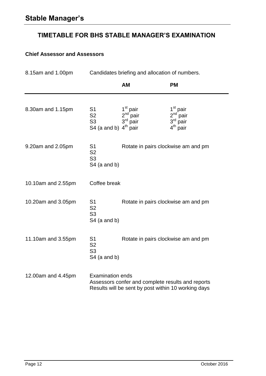# **TIMETABLE FOR BHS STABLE MANAGER'S EXAMINATION**

## **Chief Assessor and Assessors**

| 8.15am and 1.00pm                                                                          | Candidates briefing and allocation of numbers.                                                                                      |                                                            |                                                                |  |
|--------------------------------------------------------------------------------------------|-------------------------------------------------------------------------------------------------------------------------------------|------------------------------------------------------------|----------------------------------------------------------------|--|
|                                                                                            |                                                                                                                                     | <b>AM</b>                                                  | <b>PM</b>                                                      |  |
| 8.30am and 1.15pm                                                                          | S <sub>1</sub><br>S <sub>2</sub><br>S <sub>3</sub><br>S4 (a and b) $4th$ pair                                                       | 1 <sup>st</sup> pair<br>$2nd$ pair<br>$3^{\text{rd}}$ pair | 1 <sup>st</sup> pair<br>$2nd$ pair<br>$3rd$ pair<br>$4th$ pair |  |
| 9.20am and 2.05pm                                                                          | S <sub>1</sub><br>S <sub>2</sub><br>S <sub>3</sub><br>$S4$ (a and b)                                                                | Rotate in pairs clockwise am and pm                        |                                                                |  |
| 10.10am and 2.55pm                                                                         | Coffee break                                                                                                                        |                                                            |                                                                |  |
| 10.20am and 3.05pm                                                                         | S <sub>1</sub><br>S <sub>2</sub><br>S <sub>3</sub><br>$S4$ (a and b)                                                                |                                                            | Rotate in pairs clockwise am and pm                            |  |
| 11.10am and 3.55pm<br>S <sub>1</sub><br>S <sub>2</sub><br>S <sub>3</sub><br>$S4$ (a and b) |                                                                                                                                     | Rotate in pairs clockwise am and pm                        |                                                                |  |
| 12.00am and 4.45pm                                                                         | <b>Examination ends</b><br>Assessors confer and complete results and reports<br>Results will be sent by post within 10 working days |                                                            |                                                                |  |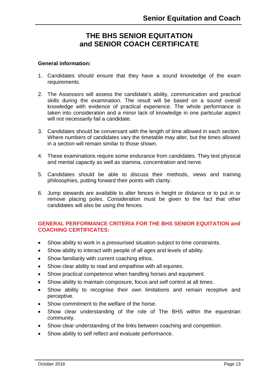# **THE BHS SENIOR EQUITATION and SENIOR COACH CERTIFICATE**

#### **General information:**

- 1. Candidates should ensure that they have a sound knowledge of the exam requirements.
- 2. The Assessors will assess the candidate's ability, communication and practical skills during the examination. The result will be based on a sound overall knowledge with evidence of practical experience. The whole performance is taken into consideration and a minor lack of knowledge in one particular aspect will not necessarily fail a candidate.
- 3. Candidates should be conversant with the length of time allowed in each section. Where numbers of candidates vary the timetable may alter, but the times allowed in a section will remain similar to those shown.
- 4. These examinations require some endurance from candidates. They test physical and mental capacity as well as stamina, concentration and nerve.
- 5. Candidates should be able to discuss their methods, views and training philosophies, putting forward their points with clarity.
- 6. Jump stewards are available to alter fences in height or distance or to put in or remove placing poles. Consideration must be given to the fact that other candidates will also be using the fences.

#### **GENERAL PERFORMANCE CRITERIA FOR THE BHS SENIOR EQUITATION and COACHING CERTIFICATES:**

- Show ability to work in a pressurised situation subject to time constraints.
- Show ability to interact with people of all ages and levels of ability.
- Show familiarity with current coaching ethos.
- Show clear ability to read and empathise with all equines.
- Show practical competence when handling horses and equipment.
- Show ability to maintain composure, focus and self control at all times.
- Show ability to recognise their own limitations and remain receptive and perceptive.
- Show commitment to the welfare of the horse.
- Show clear understanding of the role of The BHS within the equestrian community.
- Show clear understanding of the links between coaching and competition.
- Show ability to self reflect and evaluate performance.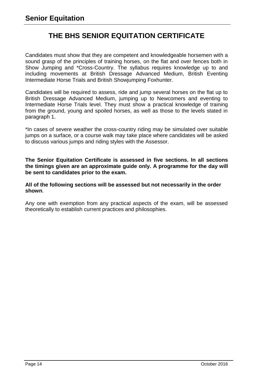# **THE BHS SENIOR EQUITATION CERTIFICATE**

Candidates must show that they are competent and knowledgeable horsemen with a sound grasp of the principles of training horses, on the flat and over fences both in Show Jumping and \*Cross-Country. The syllabus requires knowledge up to and including movements at British Dressage Advanced Medium, British Eventing Intermediate Horse Trials and British Showjumping Foxhunter.

Candidates will be required to assess, ride and jump several horses on the flat up to British Dressage Advanced Medium, jumping up to Newcomers and eventing to Intermediate Horse Trials level. They must show a practical knowledge of training from the ground, young and spoiled horses, as well as those to the levels stated in paragraph 1.

\*In cases of severe weather the cross-country riding may be simulated over suitable jumps on a surface, or a course walk may take place where candidates will be asked to discuss various jumps and riding styles with the Assessor.

**The Senior Equitation Certificate is assessed in five sections. In all sections the timings given are an approximate guide only. A programme for the day will be sent to candidates prior to the exam.**

**All of the following sections will be assessed but not necessarily in the order shown**.

Any one with exemption from any practical aspects of the exam, will be assessed theoretically to establish current practices and philosophies.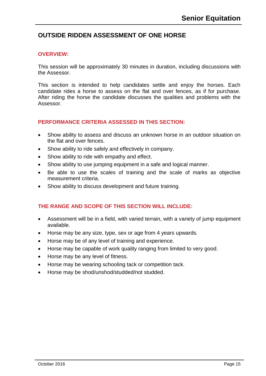# **OUTSIDE RIDDEN ASSESSMENT OF ONE HORSE**

#### **OVERVIEW:**

This session will be approximately 30 minutes in duration, including discussions with the Assessor.

This section is intended to help candidates settle and enjoy the horses. Each candidate rides a horse to assess on the flat and over fences, as if for purchase. After riding the horse the candidate discusses the qualities and problems with the Assessor.

#### **PERFORMANCE CRITERIA ASSESSED IN THIS SECTION:**

- Show ability to assess and discuss an unknown horse in an outdoor situation on the flat and over fences.
- Show ability to ride safely and effectively in company.
- Show ability to ride with empathy and effect.
- Show ability to use jumping equipment in a safe and logical manner.
- Be able to use the scales of training and the scale of marks as objective measurement criteria.
- Show ability to discuss development and future training.

- Assessment will be in a field, with varied terrain, with a variety of jump equipment available.
- Horse may be any size, type, sex or age from 4 years upwards.
- Horse may be of any level of training and experience.
- Horse may be capable of work quality ranging from limited to very good.
- Horse may be any level of fitness.
- Horse may be wearing schooling tack or competition tack.
- Horse may be shod/unshod/studded/not studded.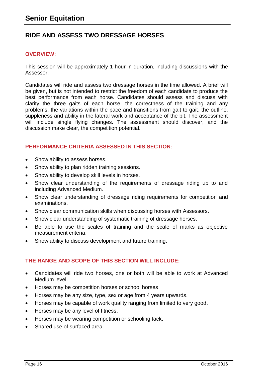# **RIDE AND ASSESS TWO DRESSAGE HORSES**

#### **OVERVIEW:**

This session will be approximately 1 hour in duration, including discussions with the Assessor.

Candidates will ride and assess two dressage horses in the time allowed. A brief will be given, but is not intended to restrict the freedom of each candidate to produce the best performance from each horse. Candidates should assess and discuss with clarity the three gaits of each horse, the correctness of the training and any problems, the variations within the pace and transitions from gait to gait, the outline, suppleness and ability in the lateral work and acceptance of the bit. The assessment will include single flying changes. The assessment should discover, and the discussion make clear, the competition potential.

#### **PERFORMANCE CRITERIA ASSESSED IN THIS SECTION:**

- Show ability to assess horses.
- Show ability to plan ridden training sessions.
- Show ability to develop skill levels in horses.
- Show clear understanding of the requirements of dressage riding up to and including Advanced Medium.
- Show clear understanding of dressage riding requirements for competition and examinations.
- Show clear communication skills when discussing horses with Assessors.
- Show clear understanding of systematic training of dressage horses.
- Be able to use the scales of training and the scale of marks as objective measurement criteria.
- Show ability to discuss development and future training.

- Candidates will ride two horses, one or both will be able to work at Advanced Medium level.
- Horses may be competition horses or school horses.
- Horses may be any size, type, sex or age from 4 years upwards.
- Horses may be capable of work quality ranging from limited to very good.
- Horses may be any level of fitness.
- Horses may be wearing competition or schooling tack.
- Shared use of surfaced area.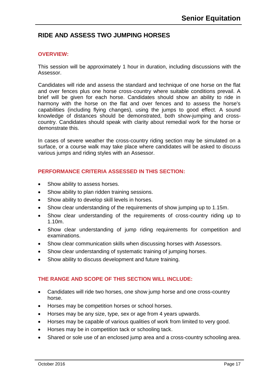# **RIDE AND ASSESS TWO JUMPING HORSES**

#### **OVERVIEW:**

This session will be approximately 1 hour in duration, including discussions with the Assessor.

Candidates will ride and assess the standard and technique of one horse on the flat and over fences plus one horse cross-country where suitable conditions prevail. A brief will be given for each horse. Candidates should show an ability to ride in harmony with the horse on the flat and over fences and to assess the horse's capabilities (including flying changes), using the jumps to good effect. A sound knowledge of distances should be demonstrated, both show-jumping and crosscountry. Candidates should speak with clarity about remedial work for the horse or demonstrate this.

In cases of severe weather the cross-country riding section may be simulated on a surface, or a course walk may take place where candidates will be asked to discuss various jumps and riding styles with an Assessor.

#### **PERFORMANCE CRITERIA ASSESSED IN THIS SECTION:**

- Show ability to assess horses.
- Show ability to plan ridden training sessions.
- Show ability to develop skill levels in horses.
- Show clear understanding of the requirements of show jumping up to 1.15m.
- Show clear understanding of the requirements of cross-country riding up to 1.10m.
- Show clear understanding of jump riding requirements for competition and examinations.
- Show clear communication skills when discussing horses with Assessors.
- Show clear understanding of systematic training of jumping horses.
- Show ability to discuss development and future training.

- Candidates will ride two horses, one show jump horse and one cross-country horse.
- Horses may be competition horses or school horses.
- Horses may be any size, type, sex or age from 4 years upwards.
- Horses may be capable of various qualities of work from limited to very good.
- Horses may be in competition tack or schooling tack.
- Shared or sole use of an enclosed jump area and a cross-country schooling area.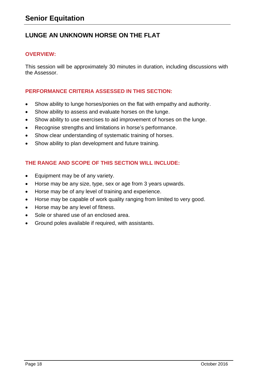# **LUNGE AN UNKNOWN HORSE ON THE FLAT**

#### **OVERVIEW:**

This session will be approximately 30 minutes in duration, including discussions with the Assessor.

#### **PERFORMANCE CRITERIA ASSESSED IN THIS SECTION:**

- Show ability to lunge horses/ponies on the flat with empathy and authority.
- Show ability to assess and evaluate horses on the lunge.
- Show ability to use exercises to aid improvement of horses on the lunge.
- Recognise strengths and limitations in horse's performance.
- Show clear understanding of systematic training of horses.
- Show ability to plan development and future training.

- Equipment may be of any variety.
- Horse may be any size, type, sex or age from 3 years upwards.
- Horse may be of any level of training and experience.
- Horse may be capable of work quality ranging from limited to very good.
- Horse may be any level of fitness.
- Sole or shared use of an enclosed area.
- Ground poles available if required, with assistants.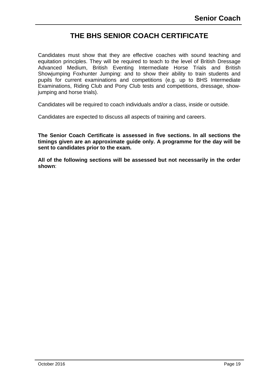# **THE BHS SENIOR COACH CERTIFICATE**

Candidates must show that they are effective coaches with sound teaching and equitation principles. They will be required to teach to the level of British Dressage Advanced Medium, British Eventing Intermediate Horse Trials and British Showjumping Foxhunter Jumping: and to show their ability to train students and pupils for current examinations and competitions (e.g. up to BHS Intermediate Examinations, Riding Club and Pony Club tests and competitions, dressage, showjumping and horse trials).

Candidates will be required to coach individuals and/or a class, inside or outside.

Candidates are expected to discuss all aspects of training and careers.

**The Senior Coach Certificate is assessed in five sections. In all sections the timings given are an approximate guide only. A programme for the day will be sent to candidates prior to the exam.**

**All of the following sections will be assessed but not necessarily in the order shown**: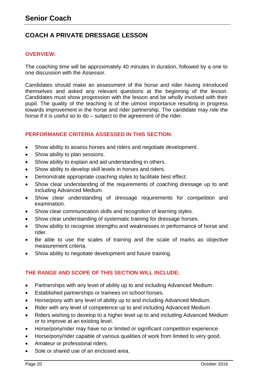# **COACH A PRIVATE DRESSAGE LESSON**

#### **OVERVIEW:**

The coaching time will be approximately 40 minutes in duration, followed by a one to one discussion with the Assessor.

Candidates should make an assessment of the horse and rider having introduced themselves and asked any relevant questions at the beginning of the lesson. Candidates must show progression with the lesson and be wholly involved with their pupil. The quality of the teaching is of the utmost importance resulting in progress towards improvement in the horse and rider partnership. The candidate may ride the horse if it is useful so to do – subject to the agreement of the rider.

#### **PERFORMANCE CRITERIA ASSESSED IN THIS SECTION:**

- Show ability to assess horses and riders and negotiate development.
- Show ability to plan sessions.
- Show ability to explain and aid understanding in others.
- Show ability to develop skill levels in horses and riders.
- Demonstrate appropriate coaching styles to facilitate best effect.
- Show clear understanding of the requirements of coaching dressage up to and including Advanced Medium.
- Show clear understanding of dressage requirements for competition and examination.
- Show clear communication skills and recognition of learning styles.
- Show clear understanding of systematic training for dressage horses.
- Show ability to recognise strengths and weaknesses in performance of horse and rider.
- Be able to use the scales of training and the scale of marks as objective measurement criteria.
- Show ability to negotiate development and future training.

- Partnerships with any level of ability up to and including Advanced Medium.
- Established partnerships or trainees on school horses.
- Horse/pony with any level of ability up to and including Advanced Medium.
- Rider with any level of competence up to and including Advanced Medium.
- Riders wishing to develop to a higher level up to and including Advanced Medium or to improve at an existing level.
- Horse/pony/rider may have no or limited or significant competition experience.
- Horse/pony/rider capable of various qualities of work from limited to very good.
- Amateur or professional riders.
- Sole or shared use of an enclosed area.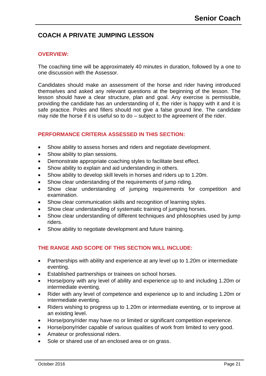# **COACH A PRIVATE JUMPING LESSON**

#### **OVERVIEW:**

The coaching time will be approximately 40 minutes in duration, followed by a one to one discussion with the Assessor.

Candidates should make an assessment of the horse and rider having introduced themselves and asked any relevant questions at the beginning of the lesson. The lesson should have a clear structure, plan and goal. Any exercise is permissible, providing the candidate has an understanding of it, the rider is happy with it and it is safe practice. Poles and fillers should not give a false ground line. The candidate may ride the horse if it is useful so to do – subject to the agreement of the rider.

#### **PERFORMANCE CRITERIA ASSESSED IN THIS SECTION:**

- Show ability to assess horses and riders and negotiate development.
- Show ability to plan sessions.
- Demonstrate appropriate coaching styles to facilitate best effect.
- Show ability to explain and aid understanding in others.
- Show ability to develop skill levels in horses and riders up to 1.20m.
- Show clear understanding of the requirements of jump riding.
- Show clear understanding of jumping requirements for competition and examination.
- Show clear communication skills and recognition of learning styles.
- Show clear understanding of systematic training of jumping horses.
- Show clear understanding of different techniques and philosophies used by jump riders.
- Show ability to negotiate development and future training.

- Partnerships with ability and experience at any level up to 1.20m or intermediate eventing.
- Established partnerships or trainees on school horses.
- Horse/pony with any level of ability and experience up to and including 1.20m or intermediate eventing.
- Rider with any level of competence and experience up to and including 1.20m or intermediate eventing.
- Riders wishing to progress up to 1.20m or intermediate eventing, or to improve at an existing level.
- Horse/pony/rider may have no or limited or significant competition experience.
- Horse/pony/rider capable of various qualities of work from limited to very good.
- Amateur or professional riders.
- Sole or shared use of an enclosed area or on grass.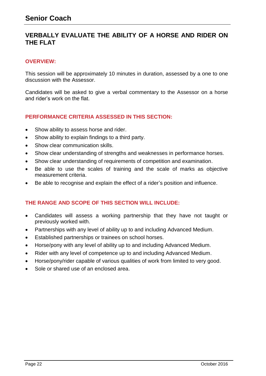# **VERBALLY EVALUATE THE ABILITY OF A HORSE AND RIDER ON THE FLAT**

#### **OVERVIEW:**

This session will be approximately 10 minutes in duration, assessed by a one to one discussion with the Assessor.

Candidates will be asked to give a verbal commentary to the Assessor on a horse and rider's work on the flat.

#### **PERFORMANCE CRITERIA ASSESSED IN THIS SECTION:**

- Show ability to assess horse and rider.
- Show ability to explain findings to a third party.
- Show clear communication skills.
- Show clear understanding of strengths and weaknesses in performance horses.
- Show clear understanding of requirements of competition and examination.
- Be able to use the scales of training and the scale of marks as objective measurement criteria.
- Be able to recognise and explain the effect of a rider's position and influence.

- Candidates will assess a working partnership that they have not taught or previously worked with.
- Partnerships with any level of ability up to and including Advanced Medium.
- Established partnerships or trainees on school horses.
- Horse/pony with any level of ability up to and including Advanced Medium.
- Rider with any level of competence up to and including Advanced Medium.
- Horse/pony/rider capable of various qualities of work from limited to very good.
- Sole or shared use of an enclosed area.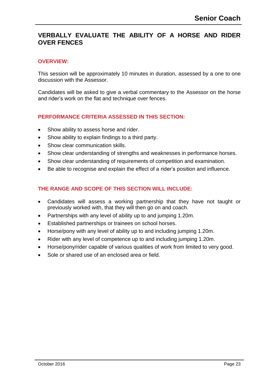#### **VERBALLY EVALUATE THE ABILITY OF A HORSE AND RIDER OVER FENCES**

#### **OVERVIEW:**

This session will be approximately 10 minutes in duration, assessed by a one to one discussion with the Assessor.

Candidates will be asked to give a verbal commentary to the Assessor on the horse and rider's work on the flat and technique over fences.

#### **PERFORMANCE CRITERIA ASSESSED IN THIS SECTION:**

- Show ability to assess horse and rider.
- Show ability to explain findings to a third party.
- Show clear communication skills.
- Show clear understanding of strengths and weaknesses in performance horses.
- Show clear understanding of requirements of competition and examination.
- Be able to recognise and explain the effect of a rider's position and influence.

- Candidates will assess a working partnership that they have not taught or previously worked with, that they will then go on and coach.
- Partnerships with any level of ability up to and jumping 1.20m.
- Established partnerships or trainees on school horses.
- Horse/pony with any level of ability up to and including jumping 1.20m.
- Rider with any level of competence up to and including jumping 1.20m.
- Horse/pony/rider capable of various qualities of work from limited to very good.
- Sole or shared use of an enclosed area or field.